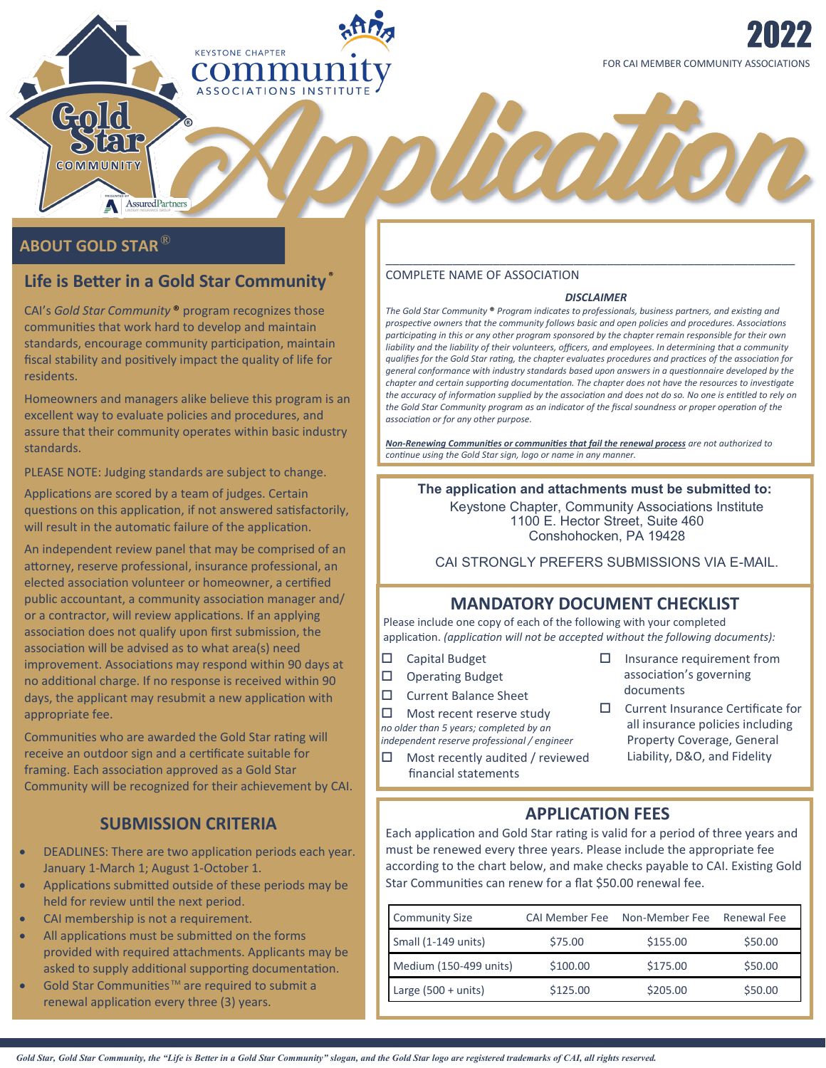

# **ABOUT GOLD STAR**®

Gold

**PIRIE** COMMUNITY

# **Life is Better in a Gold Star Community** ®

AssuredPartners

**KEYSTONE CHAPTER** COMM **ASSOCIATIONS** 

CAI's *Gold Star Community* ® program recognizes those communities that work hard to develop and maintain standards, encourage community participation, maintain fiscal stability and positively impact the quality of life for residents.

Homeowners and managers alike believe this program is an excellent way to evaluate policies and procedures, and assure that their community operates within basic industry standards.

PLEASE NOTE: Judging standards are subject to change.

Applications are scored by a team of judges. Certain questions on this application, if not answered satisfactorily, will result in the automatic failure of the application.

An independent review panel that may be comprised of an attorney, reserve professional, insurance professional, an elected association volunteer or homeowner, a certified public accountant, a community association manager and/ or a contractor, will review applications. If an applying association does not qualify upon first submission, the association will be advised as to what area(s) need improvement. Associations may respond within 90 days at no additional charge. If no response is received within 90 days, the applicant may resubmit a new application with appropriate fee.

Communities who are awarded the Gold Star rating will receive an outdoor sign and a certificate suitable for framing. Each association approved as a Gold Star Community will be recognized for their achievement by CAI.

# **SUBMISSION CRITERIA**

- DEADLINES: There are two application periods each year. January 1-March 1; August 1-October 1.
- Applications submitted outside of these periods may be held for review until the next period.
- CAI membership is not a requirement.
- All applications must be submitted on the forms provided with required attachments. Applicants may be asked to supply additional supporting documentation.
- Gold Star Communities<sup>™</sup> are required to submit a renewal application every three (3) years.

#### COMPLETE NAME OF ASSOCIATION

#### *DISCLAIMER*

\_\_\_\_\_\_\_\_\_\_\_\_\_\_\_\_\_\_\_\_\_\_\_\_\_\_\_\_\_\_\_\_\_\_\_\_\_\_\_\_\_\_\_\_\_\_\_\_\_\_\_\_\_\_\_\_\_\_\_\_\_

heation

*The Gold Star Community* **®** *Program indicates to professionals, business partners, and existing and prospective owners that the community follows basic and open policies and procedures. Associations participating in this or any other program sponsored by the chapter remain responsible for their own liability and the liability of their volunteers, officers, and employees. In determining that a community qualifies for the Gold Star rating, the chapter evaluates procedures and practices of the association for general conformance with industry standards based upon answers in a questionnaire developed by the chapter and certain supporting documentation. The chapter does not have the resources to investigate the accuracy of information supplied by the association and does not do so. No one is entitled to rely on the Gold Star Community program as an indicator of the fiscal soundness or proper operation of the association or for any other purpose.*

*Non-Renewing Communities or communities that fail the renewal process are not authorized to continue using the Gold Star sign, logo or name in any manner.*

### **The application and attachments must be submitted to:**

Keystone Chapter, Community Associations Institute 1100 E. Hector Street, Suite 460 Conshohocken, PA 19428

CAI STRONGLY PREFERS SUBMISSIONS VIA E-MAIL.

# **MANDATORY DOCUMENT CHECKLIST**

Please include one copy of each of the following with your completed application. *(application will not be accepted without the following documents):*

- □ Capital Budget
- $\Box$  Operating Budget
- □ Current Balance Sheet

 $\Box$  Most recent reserve study *no older than 5 years; completed by an* 

- *independent reserve professional / engineer*
- $\Box$  Most recently audited / reviewed financial statements
- $\square$  Insurance requirement from association's governing documents
- $\Box$  Current Insurance Certificate for all insurance policies including Property Coverage, General Liability, D&O, and Fidelity

# **APPLICATION FEES**

Each application and Gold Star rating is valid for a period of three years and must be renewed every three years. Please include the appropriate fee according to the chart below, and make checks payable to CAI. Existing Gold Star Communities can renew for a flat \$50.00 renewal fee.

| <b>Community Size</b>  | <b>CAI Member Fee</b> | Non-Member Fee | Renewal Fee |
|------------------------|-----------------------|----------------|-------------|
| Small (1-149 units)    | \$75.00               | \$155.00       | \$50.00     |
| Medium (150-499 units) | \$100.00              | \$175.00       | \$50.00     |
| Large $(500 + units)$  | \$125.00              | \$205.00       | \$50.00     |

*Gold Star, Gold Star Community, the "Life is Better in a Gold Star Community" slogan, and the Gold Star logo are registered trademarks of CAI, all rights reserved.*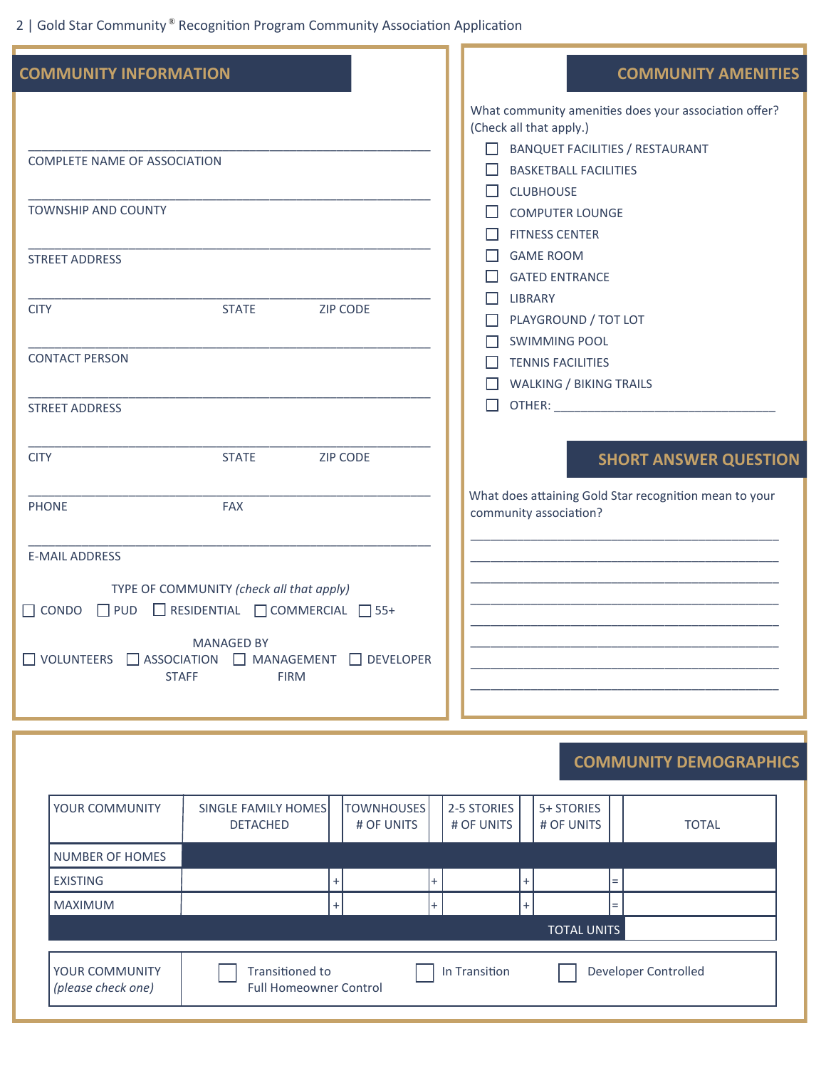2 | Gold Star Community ® Recognition Program Community Association Application

| <b>COMMUNITY INFORMATION</b> |                                                                         |           | <b>COMMUNITY AMENITIES</b>                                                       |
|------------------------------|-------------------------------------------------------------------------|-----------|----------------------------------------------------------------------------------|
|                              |                                                                         |           | What community amenities does your association offer?<br>(Check all that apply.) |
|                              |                                                                         |           | <b>BANQUET FACILITIES / RESTAURANT</b>                                           |
| COMPLETE NAME OF ASSOCIATION |                                                                         |           |                                                                                  |
|                              |                                                                         |           | <b>BASKETBALL FACILITIES</b>                                                     |
| <b>TOWNSHIP AND COUNTY</b>   |                                                                         |           | <b>CLUBHOUSE</b><br>H                                                            |
|                              |                                                                         |           | <b>COMPUTER LOUNGE</b>                                                           |
|                              |                                                                         |           | <b>FITNESS CENTER</b>                                                            |
| <b>STREET ADDRESS</b>        |                                                                         |           | <b>GAME ROOM</b>                                                                 |
|                              |                                                                         |           | <b>GATED ENTRANCE</b>                                                            |
| <b>CITY</b>                  | <b>STATE</b><br><b>ZIP CODE</b>                                         |           | <b>LIBRARY</b>                                                                   |
|                              |                                                                         |           | PLAYGROUND / TOT LOT<br>$\mathbf{L}$                                             |
|                              |                                                                         |           | <b>SWIMMING POOL</b>                                                             |
| <b>CONTACT PERSON</b>        |                                                                         |           | <b>TENNIS FACILITIES</b>                                                         |
|                              |                                                                         |           | <b>WALKING / BIKING TRAILS</b>                                                   |
| <b>STREET ADDRESS</b>        |                                                                         |           | LΙ                                                                               |
|                              |                                                                         |           |                                                                                  |
| <b>CITY</b>                  | <b>ZIP CODE</b><br><b>STATE</b>                                         |           |                                                                                  |
|                              |                                                                         |           | <b>SHORT ANSWER QUESTION</b>                                                     |
|                              |                                                                         |           | What does attaining Gold Star recognition mean to your                           |
| <b>PHONE</b>                 | <b>FAX</b>                                                              |           | community association?                                                           |
|                              |                                                                         |           |                                                                                  |
| <b>E-MAIL ADDRESS</b>        |                                                                         |           |                                                                                  |
|                              |                                                                         |           |                                                                                  |
|                              | TYPE OF COMMUNITY (check all that apply)                                |           |                                                                                  |
|                              | $\Box$ CONDO $\Box$ PUD $\Box$ RESIDENTIAL $\Box$ COMMERCIAL $\Box$ 55+ |           |                                                                                  |
|                              | <b>MANAGED BY</b>                                                       |           |                                                                                  |
|                              | $\Box$ VOLUNTEERS $\Box$ ASSOCIATION $\Box$ MANAGEMENT $\Box$ DEVELOPER |           |                                                                                  |
|                              | <b>STAFF</b><br><b>FIRM</b>                                             |           |                                                                                  |
|                              |                                                                         |           |                                                                                  |
|                              |                                                                         |           |                                                                                  |
|                              |                                                                         |           |                                                                                  |
|                              |                                                                         |           | <b>COMMUNITY DEMOGRAPHICS</b>                                                    |
|                              |                                                                         |           |                                                                                  |
| YOUR COMMUNITY               | <b>TOWNHOUSES</b><br>SINGLE FAMILY HOMES                                |           | 2-5 STORIES<br>5+ STORIES                                                        |
|                              | <b>DETACHED</b><br># OF UNITS                                           |           | # OF UNITS<br># OF UNITS<br><b>TOTAL</b>                                         |
| <b>NUMBER OF HOMES</b>       |                                                                         |           |                                                                                  |
|                              |                                                                         |           |                                                                                  |
| <b>EXISTING</b>              | $\ddot{}$                                                               | $^{+}$    | $\ddot{}$<br>Ξ.                                                                  |
| <b>MAXIMUM</b>               | $\ddot{}$                                                               | $\ddot{}$ | $\ddot{}$                                                                        |
|                              |                                                                         |           | <b>TOTAL UNITS</b>                                                               |
|                              |                                                                         |           |                                                                                  |
| YOUR COMMUNITY               | Transitioned to                                                         |           | Developer Controlled<br>In Transition                                            |

*(please check one)* Full Homeowner Control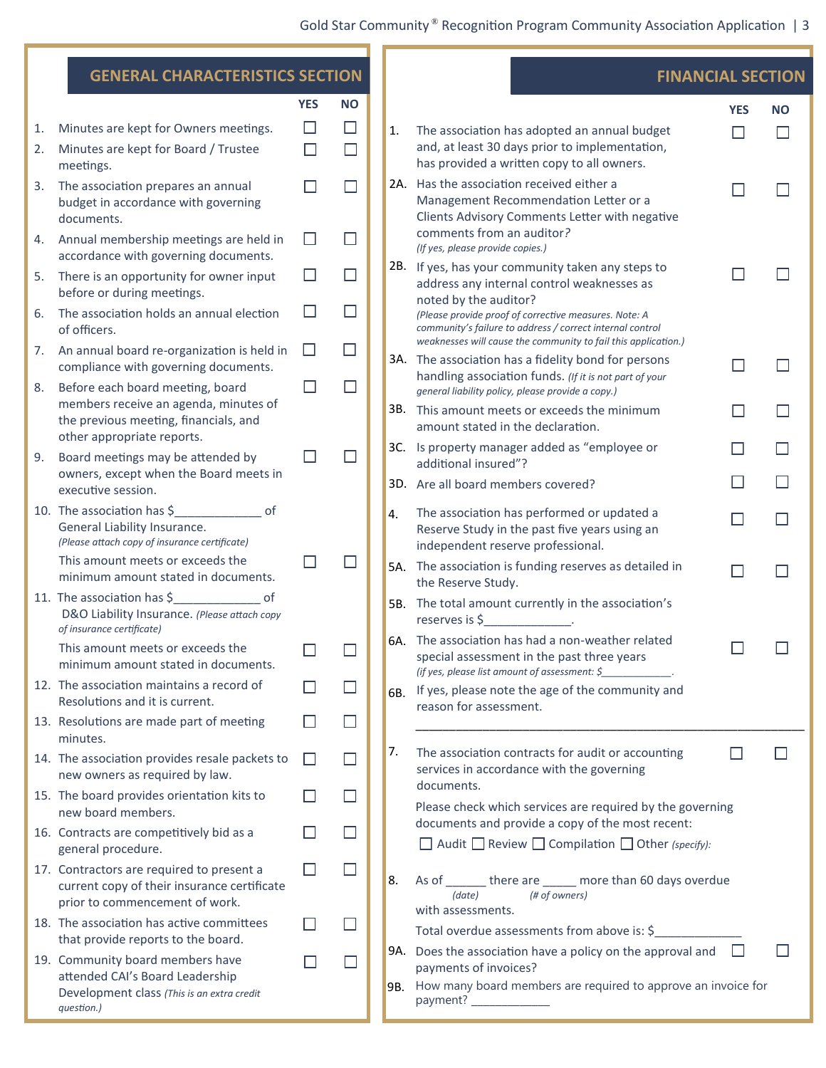|          | <b>GENERAL CHARACTERISTICS SECTION</b>                                                                                     |                  |                  |    |                                                                                                                                                             | <b>FINANCIAL SECTION</b> |           |  |
|----------|----------------------------------------------------------------------------------------------------------------------------|------------------|------------------|----|-------------------------------------------------------------------------------------------------------------------------------------------------------------|--------------------------|-----------|--|
|          |                                                                                                                            | <b>YES</b>       | <b>NO</b>        |    |                                                                                                                                                             | <b>YES</b>               | <b>NO</b> |  |
| 1.<br>2. | Minutes are kept for Owners meetings.<br>Minutes are kept for Board / Trustee<br>meetings.                                 | $\Box$<br>$\Box$ | $\Box$<br>$\Box$ | 1. | The association has adopted an annual budget<br>and, at least 30 days prior to implementation,<br>has provided a written copy to all owners.                |                          |           |  |
| 3.       | The association prepares an annual<br>budget in accordance with governing<br>documents.                                    |                  | $\Box$           |    | 2A. Has the association received either a<br>Management Recommendation Letter or a<br>Clients Advisory Comments Letter with negative                        | $\mathbf{I}$             |           |  |
| 4.       | Annual membership meetings are held in<br>accordance with governing documents.                                             | □                | □                |    | comments from an auditor?<br>(If yes, please provide copies.)                                                                                               |                          |           |  |
| 5.       | There is an opportunity for owner input<br>before or during meetings.                                                      | $\Box$           | $\Box$           |    | 2B. If yes, has your community taken any steps to<br>address any internal control weaknesses as                                                             |                          |           |  |
| 6.       | The association holds an annual election<br>of officers.                                                                   | $\Box$           | $\Box$           |    | noted by the auditor?<br>(Please provide proof of corrective measures. Note: A<br>community's failure to address / correct internal control                 |                          |           |  |
| 7.       | An annual board re-organization is held in<br>compliance with governing documents.                                         | $\Box$           | $\Box$           |    | weaknesses will cause the community to fail this application.)<br>3A. The association has a fidelity bond for persons                                       | L                        |           |  |
| 8.       | Before each board meeting, board<br>members receive an agenda, minutes of                                                  | Ш                | $\Box$           |    | handling association funds. (If it is not part of your<br>general liability policy, please provide a copy.)<br>3B. This amount meets or exceeds the minimum | $\mathbf{I}$             |           |  |
|          | the previous meeting, financials, and<br>other appropriate reports.                                                        |                  |                  |    | amount stated in the declaration.                                                                                                                           |                          |           |  |
| 9.       | Board meetings may be attended by<br>owners, except when the Board meets in                                                | $\Box$           | $\Box$           |    | 3C. Is property manager added as "employee or<br>additional insured"?                                                                                       | H                        |           |  |
|          | executive session.<br>10. The association has \$                                                                           |                  |                  |    | 3D. Are all board members covered?<br>The association has performed or updated a                                                                            |                          |           |  |
|          | General Liability Insurance.<br>(Please attach copy of insurance certificate)                                              |                  |                  | 4. | Reserve Study in the past five years using an<br>independent reserve professional.                                                                          |                          |           |  |
|          | This amount meets or exceeds the<br>minimum amount stated in documents.                                                    |                  | $\mathsf{L}$     |    | 5A. The association is funding reserves as detailed in<br>the Reserve Study.                                                                                | H                        |           |  |
|          | 11. The association has \$<br>of<br>D&O Liability Insurance. (Please attach copy<br>of insurance certificate)              |                  |                  |    | 5B. The total amount currently in the association's<br>reserves is \$<br><b>Contract Contract State</b>                                                     |                          |           |  |
|          | This amount meets or exceeds the<br>minimum amount stated in documents.                                                    |                  |                  |    | 6A. The association has had a non-weather related<br>special assessment in the past three years<br>(if yes, please list amount of assessment: \$_           |                          |           |  |
|          | 12. The association maintains a record of<br>Resolutions and it is current.                                                |                  | $\mathbf{I}$     |    | 6B. If yes, please note the age of the community and<br>reason for assessment.                                                                              |                          |           |  |
|          | 13. Resolutions are made part of meeting<br>minutes.                                                                       |                  | $\Box$           |    |                                                                                                                                                             |                          |           |  |
|          | 14. The association provides resale packets to<br>new owners as required by law.                                           | $\Box$           | $\Box$           | 7. | The association contracts for audit or accounting<br>services in accordance with the governing                                                              |                          |           |  |
|          | 15. The board provides orientation kits to<br>new board members.                                                           |                  | $\Box$           |    | documents.<br>Please check which services are required by the governing                                                                                     |                          |           |  |
|          | 16. Contracts are competitively bid as a<br>general procedure.                                                             |                  | $\Box$           |    | documents and provide a copy of the most recent:<br>$\Box$ Audit $\Box$ Review $\Box$ Compilation $\Box$ Other (specify):                                   |                          |           |  |
|          | 17. Contractors are required to present a<br>current copy of their insurance certificate<br>prior to commencement of work. | $\Box$           | $\Box$           | 8. | As of _______ there are _____ more than 60 days overdue<br>(# of owners)<br>(date)                                                                          |                          |           |  |
|          | 18. The association has active committees<br>that provide reports to the board.                                            | $\Box$           | $\Box$           |    | with assessments.<br>Total overdue assessments from above is: \$                                                                                            |                          |           |  |
|          | 19. Community board members have<br>attended CAI's Board Leadership<br>Development class (This is an extra credit          |                  | $\Box$           |    | 9A. Does the association have a policy on the approval and<br>payments of invoices?<br>9B. How many board members are required to approve an invoice for    |                          |           |  |
|          | question.)                                                                                                                 |                  |                  |    | payment? _____________                                                                                                                                      |                          |           |  |

T F